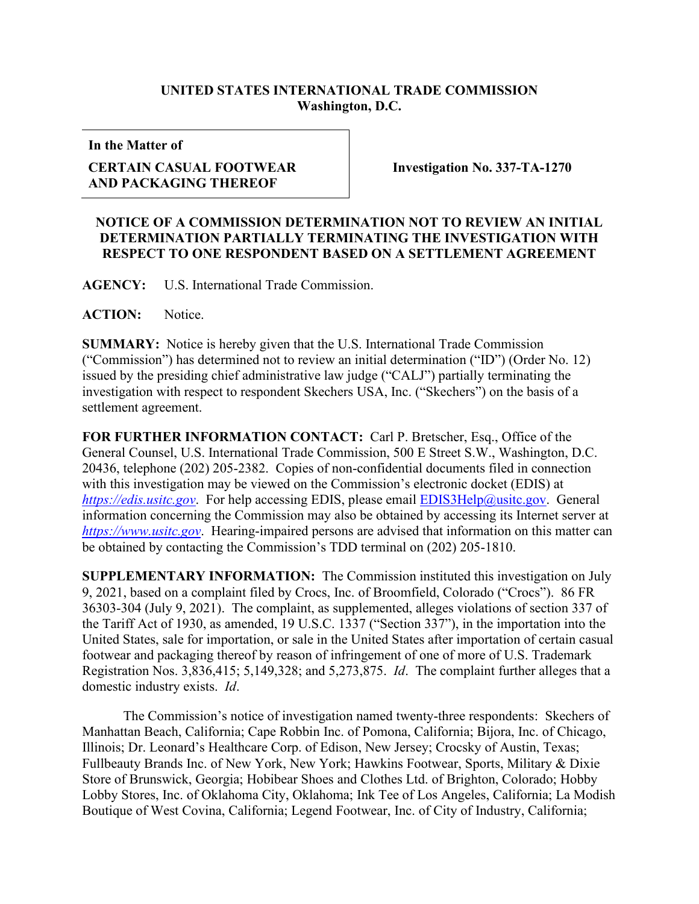## **UNITED STATES INTERNATIONAL TRADE COMMISSION Washington, D.C.**

**In the Matter of**

## **CERTAIN CASUAL FOOTWEAR AND PACKAGING THEREOF**

**Investigation No. 337-TA-1270**

## **NOTICE OF A COMMISSION DETERMINATION NOT TO REVIEW AN INITIAL DETERMINATION PARTIALLY TERMINATING THE INVESTIGATION WITH RESPECT TO ONE RESPONDENT BASED ON A SETTLEMENT AGREEMENT**

**AGENCY:** U.S. International Trade Commission.

ACTION: Notice.

**SUMMARY:** Notice is hereby given that the U.S. International Trade Commission ("Commission") has determined not to review an initial determination ("ID") (Order No. 12) issued by the presiding chief administrative law judge ("CALJ") partially terminating the investigation with respect to respondent Skechers USA, Inc. ("Skechers") on the basis of a settlement agreement.

**FOR FURTHER INFORMATION CONTACT:** Carl P. Bretscher, Esq., Office of the General Counsel, U.S. International Trade Commission, 500 E Street S.W., Washington, D.C. 20436, telephone (202) 205-2382. Copies of non-confidential documents filed in connection with this investigation may be viewed on the Commission's electronic docket (EDIS) at *[https://edis.usitc.gov](https://edis.usitc.gov/).* For help accessing EDIS, please email **EDIS3Help@usitc.gov.** General information concerning the Commission may also be obtained by accessing its Internet server at *[https://www.usitc.gov](https://www.usitc.gov/)*. Hearing-impaired persons are advised that information on this matter can be obtained by contacting the Commission's TDD terminal on (202) 205-1810.

**SUPPLEMENTARY INFORMATION:** The Commission instituted this investigation on July 9, 2021, based on a complaint filed by Crocs, Inc. of Broomfield, Colorado ("Crocs"). 86 FR 36303-304 (July 9, 2021). The complaint, as supplemented, alleges violations of section 337 of the Tariff Act of 1930, as amended, 19 U.S.C. 1337 ("Section 337"), in the importation into the United States, sale for importation, or sale in the United States after importation of certain casual footwear and packaging thereof by reason of infringement of one of more of U.S. Trademark Registration Nos. 3,836,415; 5,149,328; and 5,273,875. *Id*. The complaint further alleges that a domestic industry exists. *Id*.

The Commission's notice of investigation named twenty-three respondents: Skechers of Manhattan Beach, California; Cape Robbin Inc. of Pomona, California; Bijora, Inc. of Chicago, Illinois; Dr. Leonard's Healthcare Corp. of Edison, New Jersey; Crocsky of Austin, Texas; Fullbeauty Brands Inc. of New York, New York; Hawkins Footwear, Sports, Military & Dixie Store of Brunswick, Georgia; Hobibear Shoes and Clothes Ltd. of Brighton, Colorado; Hobby Lobby Stores, Inc. of Oklahoma City, Oklahoma; Ink Tee of Los Angeles, California; La Modish Boutique of West Covina, California; Legend Footwear, Inc. of City of Industry, California;